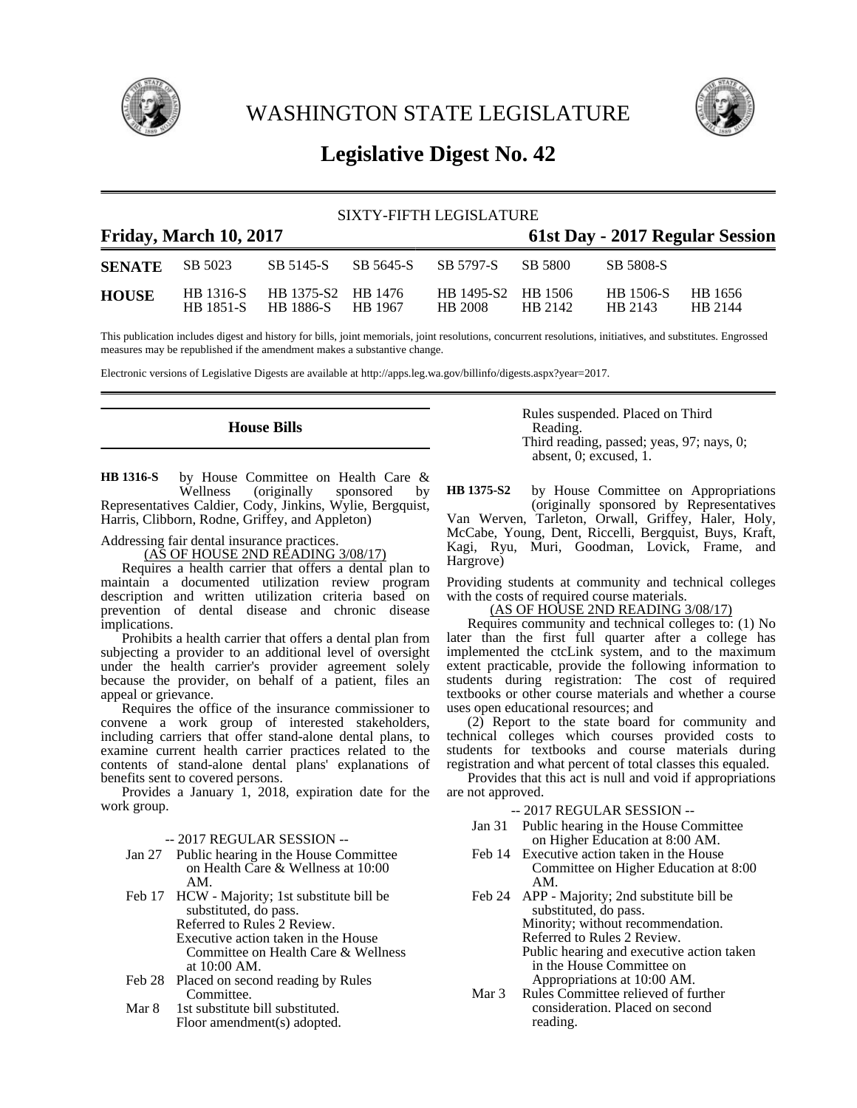

WASHINGTON STATE LEGISLATURE



# **Legislative Digest No. 42**

| SIXTY-FIFTH LEGISLATURE                                   |                               |                                         |  |                               |         |                             |                    |  |
|-----------------------------------------------------------|-------------------------------|-----------------------------------------|--|-------------------------------|---------|-----------------------------|--------------------|--|
| Friday, March 10, 2017<br>61st Day - 2017 Regular Session |                               |                                         |  |                               |         |                             |                    |  |
| <b>SENATE</b>                                             | SB 5023                       | SB 5145-S SB 5645-S SB 5797-S           |  |                               | SB 5800 | SB 5808-S                   |                    |  |
| <b>HOUSE</b>                                              | HB 1316-S<br><b>HB</b> 1851-S | HB 1375-S2 HB 1476<br>HB 1886-S HB 1967 |  | HB 1495-S2 HB 1506<br>HB 2008 | HB 2142 | <b>HB</b> 1506-S<br>HB 2143 | HB 1656<br>HB 2144 |  |

This publication includes digest and history for bills, joint memorials, joint resolutions, concurrent resolutions, initiatives, and substitutes. Engrossed measures may be republished if the amendment makes a substantive change.

Electronic versions of Legislative Digests are available at http://apps.leg.wa.gov/billinfo/digests.aspx?year=2017.

## **House Bills**

by House Committee on Health Care &<br>Wellness (originally sponsored by sponsored by Representatives Caldier, Cody, Jinkins, Wylie, Bergquist, Harris, Clibborn, Rodne, Griffey, and Appleton) **HB 1316-S**

Addressing fair dental insurance practices.

(AS OF HOUSE 2ND READING 3/08/17)

Requires a health carrier that offers a dental plan to maintain a documented utilization review program description and written utilization criteria based on prevention of dental disease and chronic disease implications.

Prohibits a health carrier that offers a dental plan from subjecting a provider to an additional level of oversight under the health carrier's provider agreement solely because the provider, on behalf of a patient, files an appeal or grievance.

Requires the office of the insurance commissioner to convene a work group of interested stakeholders, including carriers that offer stand-alone dental plans, to examine current health carrier practices related to the contents of stand-alone dental plans' explanations of benefits sent to covered persons.

Provides a January 1, 2018, expiration date for the work group.

-- 2017 REGULAR SESSION --

- Jan 27 Public hearing in the House Committee on Health Care & Wellness at 10:00 AM.
- Feb 17 HCW Majority; 1st substitute bill be substituted, do pass. Referred to Rules 2 Review. Executive action taken in the House Committee on Health Care & Wellness at 10:00 AM.
- Feb 28 Placed on second reading by Rules Committee.
- Mar 8 1st substitute bill substituted. Floor amendment(s) adopted.

Rules suspended. Placed on Third Reading. Third reading, passed; yeas, 97; nays, 0; absent, 0; excused, 1.

by House Committee on Appropriations (originally sponsored by Representatives Van Werven, Tarleton, Orwall, Griffey, Haler, Holy, McCabe, Young, Dent, Riccelli, Bergquist, Buys, Kraft, Kagi, Ryu, Muri, Goodman, Lovick, Frame, and Hargrove) **HB 1375-S2**

Providing students at community and technical colleges with the costs of required course materials.

## (AS OF HOUSE 2ND READING 3/08/17)

Requires community and technical colleges to: (1) No later than the first full quarter after a college has implemented the ctcLink system, and to the maximum extent practicable, provide the following information to students during registration: The cost of required textbooks or other course materials and whether a course uses open educational resources; and

(2) Report to the state board for community and technical colleges which courses provided costs to students for textbooks and course materials during registration and what percent of total classes this equaled.

Provides that this act is null and void if appropriations are not approved.

-- 2017 REGULAR SESSION --

- Jan 31 Public hearing in the House Committee on Higher Education at 8:00 AM.
- Feb 14 Executive action taken in the House Committee on Higher Education at 8:00 AM.
- Feb 24 APP Majority; 2nd substitute bill be substituted, do pass.

Minority; without recommendation. Referred to Rules 2 Review.

Public hearing and executive action taken in the House Committee on

Appropriations at 10:00 AM.

Mar 3 Rules Committee relieved of further consideration. Placed on second reading.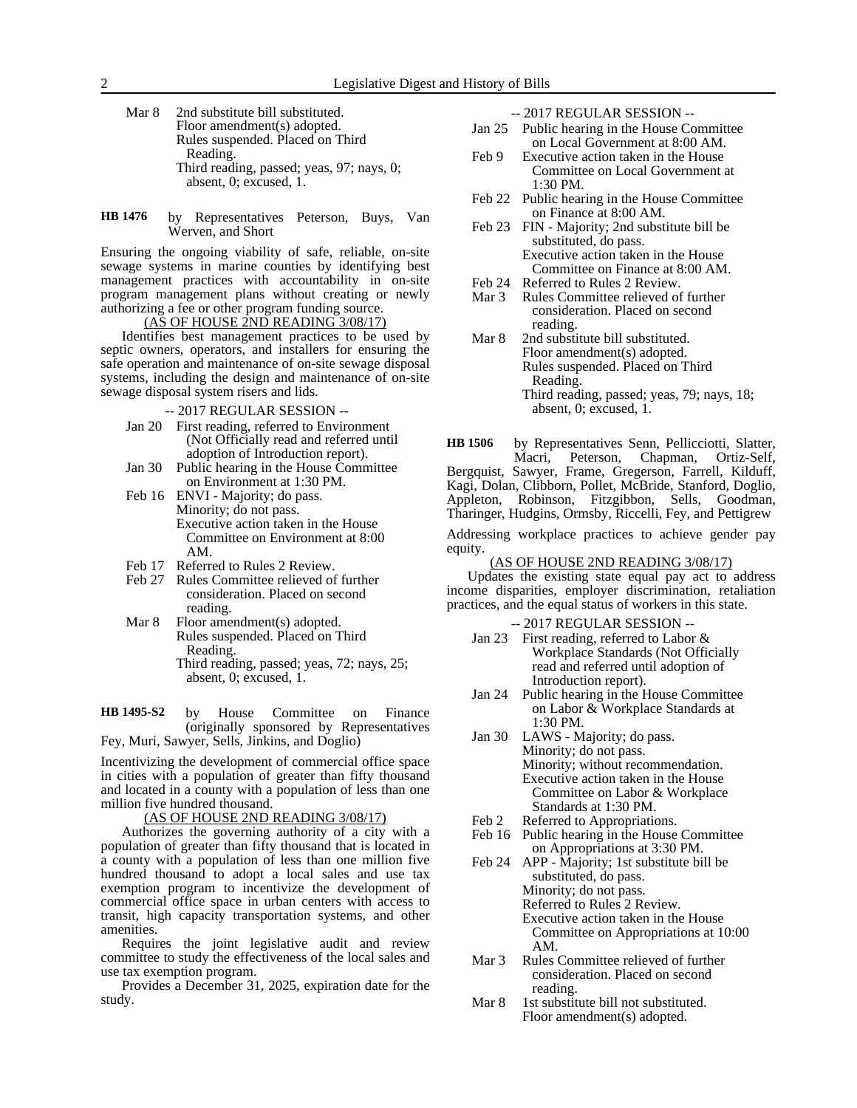- Mar 8 2nd substitute bill substituted. Floor amendment(s) adopted. Rules suspended. Placed on Third Reading. Third reading, passed; yeas, 97; nays, 0; absent, 0; excused, 1.
- by Representatives Peterson, Buys, Van Werven, and Short **HB 1476**

Ensuring the ongoing viability of safe, reliable, on-site sewage systems in marine counties by identifying best management practices with accountability in on-site program management plans without creating or newly authorizing a fee or other program funding source.

(AS OF HOUSE 2ND READING 3/08/17)

Identifies best management practices to be used by septic owners, operators, and installers for ensuring the safe operation and maintenance of on-site sewage disposal systems, including the design and maintenance of on-site sewage disposal system risers and lids.

- -- 2017 REGULAR SESSION --
- Jan 20 First reading, referred to Environment (Not Officially read and referred until adoption of Introduction report).
- Jan 30 Public hearing in the House Committee on Environment at 1:30 PM.
- Feb 16 ENVI Majority; do pass. Minority; do not pass. Executive action taken in the House Committee on Environment at 8:00 AM.
- Feb 17 Referred to Rules 2 Review.
- Feb 27 Rules Committee relieved of further consideration. Placed on second reading.
- Mar 8 Floor amendment(s) adopted. Rules suspended. Placed on Third Reading. Third reading, passed; yeas, 72; nays, 25; absent, 0; excused, 1.

by House Committee on Finance (originally sponsored by Representatives Fey, Muri, Sawyer, Sells, Jinkins, and Doglio) **HB 1495-S2**

Incentivizing the development of commercial office space in cities with a population of greater than fifty thousand and located in a county with a population of less than one million five hundred thousand.

## (AS OF HOUSE 2ND READING 3/08/17)

Authorizes the governing authority of a city with a population of greater than fifty thousand that is located in a county with a population of less than one million five hundred thousand to adopt a local sales and use tax exemption program to incentivize the development of commercial office space in urban centers with access to transit, high capacity transportation systems, and other amenities.

Requires the joint legislative audit and review committee to study the effectiveness of the local sales and use tax exemption program.

Provides a December 31, 2025, expiration date for the study.

-- 2017 REGULAR SESSION --

- Jan 25 Public hearing in the House Committee on Local Government at 8:00 AM.
- Feb 9 Executive action taken in the House Committee on Local Government at 1:30 PM.
- Feb 22 Public hearing in the House Committee on Finance at 8:00 AM.
- Feb 23 FIN Majority; 2nd substitute bill be substituted, do pass. Executive action taken in the House Committee on Finance at 8:00 AM.
- Feb 24 Referred to Rules 2 Review.<br>Mar 3 Rules Committee relieved of
- Rules Committee relieved of further consideration. Placed on second reading.
- Mar 8 2nd substitute bill substituted. Floor amendment(s) adopted. Rules suspended. Placed on Third Reading. Third reading, passed; yeas, 79; nays, 18; absent, 0; excused, 1.

by Representatives Senn, Pellicciotti, Slatter, Macri, Peterson, Chapman, Ortiz-Self, Bergquist, Sawyer, Frame, Gregerson, Farrell, Kilduff, Kagi, Dolan, Clibborn, Pollet, McBride, Stanford, Doglio, Appleton, Robinson, Fitzgibbon, Sells, Goodman, Tharinger, Hudgins, Ormsby, Riccelli, Fey, and Pettigrew **HB 1506**

Addressing workplace practices to achieve gender pay equity.

(AS OF HOUSE 2ND READING 3/08/17)

Updates the existing state equal pay act to address income disparities, employer discrimination, retaliation practices, and the equal status of workers in this state.

-- 2017 REGULAR SESSION --

- Jan 23 First reading, referred to Labor & Workplace Standards (Not Officially read and referred until adoption of Introduction report).
- Jan 24 Public hearing in the House Committee on Labor & Workplace Standards at 1:30 PM.
- Jan 30 LAWS Majority; do pass. Minority; do not pass. Minority; without recommendation. Executive action taken in the House Committee on Labor & Workplace Standards at 1:30 PM.
- Feb 2 Referred to Appropriations.
- Feb 16 Public hearing in the House Committee on Appropriations at 3:30 PM.
- Feb 24 APP Majority; 1st substitute bill be substituted, do pass. Minority; do not pass. Referred to Rules 2 Review. Executive action taken in the House Committee on Appropriations at 10:00 AM.
- Mar 3 Rules Committee relieved of further consideration. Placed on second reading.
- Mar 8 1st substitute bill not substituted. Floor amendment(s) adopted.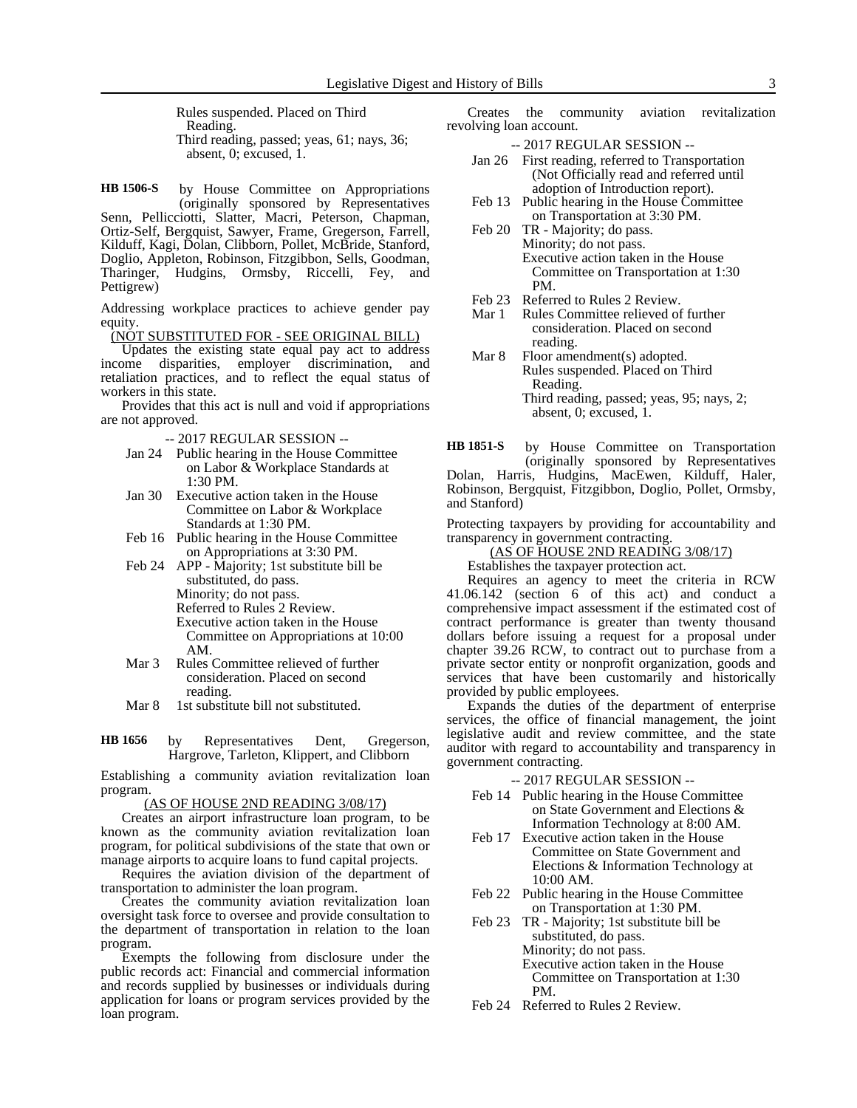Rules suspended. Placed on Third Reading. Third reading, passed; yeas, 61; nays, 36; absent, 0; excused, 1.

by House Committee on Appropriations (originally sponsored by Representatives Senn, Pellicciotti, Slatter, Macri, Peterson, Chapman, Ortiz-Self, Bergquist, Sawyer, Frame, Gregerson, Farrell, Kilduff, Kagi, Dolan, Clibborn, Pollet, McBride, Stanford, Doglio, Appleton, Robinson, Fitzgibbon, Sells, Goodman, Tharinger, Hudgins, Ormsby, Riccelli, Fey, and Pettigrew) **HB 1506-S**

Addressing workplace practices to achieve gender pay equity.

(NOT SUBSTITUTED FOR - SEE ORIGINAL BILL)

Updates the existing state equal pay act to address income disparities, employer discrimination, and retaliation practices, and to reflect the equal status of workers in this state.

Provides that this act is null and void if appropriations are not approved.

-- 2017 REGULAR SESSION --

- Jan 24 Public hearing in the House Committee on Labor & Workplace Standards at 1:30 PM.
- Jan 30 Executive action taken in the House Committee on Labor & Workplace Standards at 1:30 PM.
- Feb 16 Public hearing in the House Committee on Appropriations at 3:30 PM.
- Feb 24 APP Majority; 1st substitute bill be substituted, do pass. Minority; do not pass.
	- Referred to Rules 2 Review.

Executive action taken in the House Committee on Appropriations at 10:00 AM.

- Mar 3 Rules Committee relieved of further consideration. Placed on second reading.
- Mar 8 1st substitute bill not substituted.

by Representatives Dent, Gregerson, Hargrove, Tarleton, Klippert, and Clibborn **HB 1656**

Establishing a community aviation revitalization loan program.

(AS OF HOUSE 2ND READING 3/08/17)

Creates an airport infrastructure loan program, to be known as the community aviation revitalization loan program, for political subdivisions of the state that own or manage airports to acquire loans to fund capital projects.

Requires the aviation division of the department of transportation to administer the loan program.

Creates the community aviation revitalization loan oversight task force to oversee and provide consultation to the department of transportation in relation to the loan program.

Exempts the following from disclosure under the public records act: Financial and commercial information and records supplied by businesses or individuals during application for loans or program services provided by the loan program.

Creates the community aviation revitalization revolving loan account.

-- 2017 REGULAR SESSION --

- Jan 26 First reading, referred to Transportation (Not Officially read and referred until adoption of Introduction report).
- Feb 13 Public hearing in the House Committee on Transportation at 3:30 PM.
- Feb 20 TR Majority; do pass. Minority; do not pass. Executive action taken in the House Committee on Transportation at 1:30 PM.
- Feb 23 Referred to Rules 2 Review.<br>Mar 1 Rules Committee relieved of
- Rules Committee relieved of further consideration. Placed on second reading.
- Mar 8 Floor amendment(s) adopted. Rules suspended. Placed on Third Reading. Third reading, passed; yeas, 95; nays, 2; absent, 0; excused, 1.

by House Committee on Transportation (originally sponsored by Representatives **HB 1851-S**

Dolan, Harris, Hudgins, MacEwen, Kilduff, Haler, Robinson, Bergquist, Fitzgibbon, Doglio, Pollet, Ormsby, and Stanford)

Protecting taxpayers by providing for accountability and transparency in government contracting.

(AS OF HOUSE 2ND READING 3/08/17)

Establishes the taxpayer protection act.

Requires an agency to meet the criteria in RCW 41.06.142 (section 6 of this act) and conduct a comprehensive impact assessment if the estimated cost of contract performance is greater than twenty thousand dollars before issuing a request for a proposal under chapter 39.26 RCW, to contract out to purchase from a private sector entity or nonprofit organization, goods and services that have been customarily and historically provided by public employees.

Expands the duties of the department of enterprise services, the office of financial management, the joint legislative audit and review committee, and the state auditor with regard to accountability and transparency in government contracting.

- -- 2017 REGULAR SESSION --
- Feb 14 Public hearing in the House Committee on State Government and Elections & Information Technology at 8:00 AM.
- Feb 17 Executive action taken in the House Committee on State Government and Elections & Information Technology at 10:00 AM.
- Feb 22 Public hearing in the House Committee on Transportation at 1:30 PM.
- Feb 23 TR Majority; 1st substitute bill be substituted, do pass. Minority; do not pass. Executive action taken in the House Committee on Transportation at 1:30 PM.
- Feb 24 Referred to Rules 2 Review.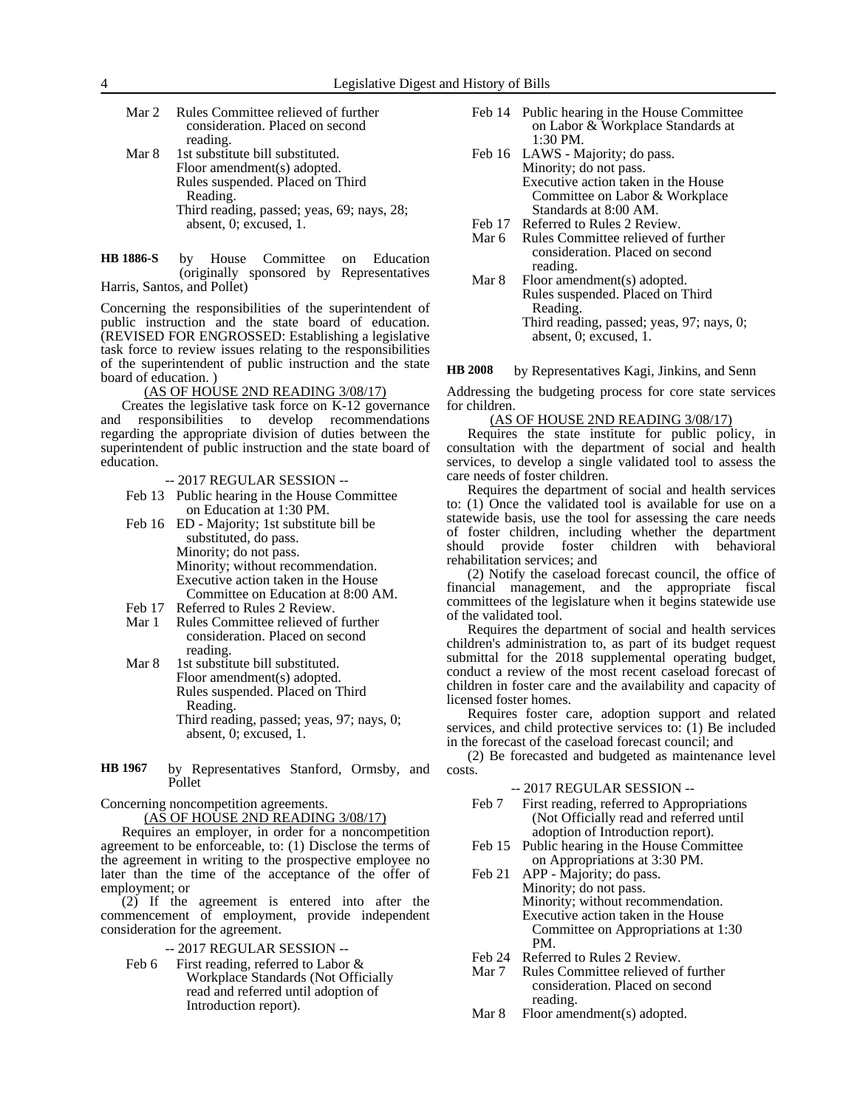| Mar 2 | Rules Committee relieved of further        |
|-------|--------------------------------------------|
|       | consideration. Placed on second            |
|       | reading.                                   |
| Mar 8 | 1st substitute bill substituted.           |
|       | Floor amendment(s) adopted.                |
|       | Rules suspended. Placed on Third           |
|       | Reading.                                   |
|       | Third reading, passed; yeas, 69; nays, 28; |
|       | absent, 0; excused, 1.                     |

by House Committee on Education (originally sponsored by Representatives Harris, Santos, and Pollet) **HB 1886-S**

Concerning the responsibilities of the superintendent of public instruction and the state board of education. (REVISED FOR ENGROSSED: Establishing a legislative task force to review issues relating to the responsibilities of the superintendent of public instruction and the state board of education. )

(AS OF HOUSE 2ND READING 3/08/17)

Creates the legislative task force on K-12 governance and responsibilities to develop recommendations regarding the appropriate division of duties between the superintendent of public instruction and the state board of education.

-- 2017 REGULAR SESSION --

- Feb 13 Public hearing in the House Committee on Education at 1:30 PM.
- Feb 16 ED Majority; 1st substitute bill be substituted, do pass. Minority; do not pass. Minority; without recommendation. Executive action taken in the House Committee on Education at 8:00 AM.
- Feb 17 Referred to Rules 2 Review.<br>Mar 1 Rules Committee relieved of
- Rules Committee relieved of further consideration. Placed on second reading.
- Mar 8 1st substitute bill substituted. Floor amendment(s) adopted. Rules suspended. Placed on Third Reading. Third reading, passed; yeas, 97; nays, 0; absent, 0; excused, 1.
- by Representatives Stanford, Ormsby, and Pollet **HB 1967**

Concerning noncompetition agreements.

(AS OF HOUSE 2ND READING 3/08/17)

Requires an employer, in order for a noncompetition agreement to be enforceable, to: (1) Disclose the terms of the agreement in writing to the prospective employee no later than the time of the acceptance of the offer of employment; or

(2) If the agreement is entered into after the commencement of employment, provide independent consideration for the agreement.

-- 2017 REGULAR SESSION --

Feb 6 First reading, referred to Labor & Workplace Standards (Not Officially read and referred until adoption of Introduction report).

- Feb 14 Public hearing in the House Committee on Labor & Workplace Standards at 1:30 PM.
- Feb 16 LAWS Majority; do pass. Minority; do not pass. Executive action taken in the House Committee on Labor & Workplace Standards at 8:00 AM.
- Feb 17 Referred to Rules 2 Review.<br>Mar 6 Rules Committee relieved of
- Rules Committee relieved of further consideration. Placed on second reading.
- Mar 8 Floor amendment(s) adopted. Rules suspended. Placed on Third Reading. Third reading, passed; yeas, 97; nays, 0; absent, 0; excused, 1.

by Representatives Kagi, Jinkins, and Senn **HB 2008**

Addressing the budgeting process for core state services for children.

#### (AS OF HOUSE 2ND READING 3/08/17)

Requires the state institute for public policy, in consultation with the department of social and health services, to develop a single validated tool to assess the care needs of foster children.

Requires the department of social and health services to: (1) Once the validated tool is available for use on a statewide basis, use the tool for assessing the care needs of foster children, including whether the department should provide foster children with behavioral rehabilitation services; and

(2) Notify the caseload forecast council, the office of financial management, and the appropriate fiscal committees of the legislature when it begins statewide use of the validated tool.

Requires the department of social and health services children's administration to, as part of its budget request submittal for the 2018 supplemental operating budget, conduct a review of the most recent caseload forecast of children in foster care and the availability and capacity of licensed foster homes.

Requires foster care, adoption support and related services, and child protective services to: (1) Be included in the forecast of the caseload forecast council; and

(2) Be forecasted and budgeted as maintenance level costs.

### -- 2017 REGULAR SESSION --

- Feb 7 First reading, referred to Appropriations (Not Officially read and referred until adoption of Introduction report).
- Feb 15 Public hearing in the House Committee on Appropriations at 3:30 PM.
- Feb 21 APP Majority; do pass. Minority; do not pass. Minority; without recommendation. Executive action taken in the House Committee on Appropriations at 1:30 PM.
- Feb 24 Referred to Rules 2 Review.
- Mar 7 Rules Committee relieved of further consideration. Placed on second reading.
- Mar 8 Floor amendment(s) adopted.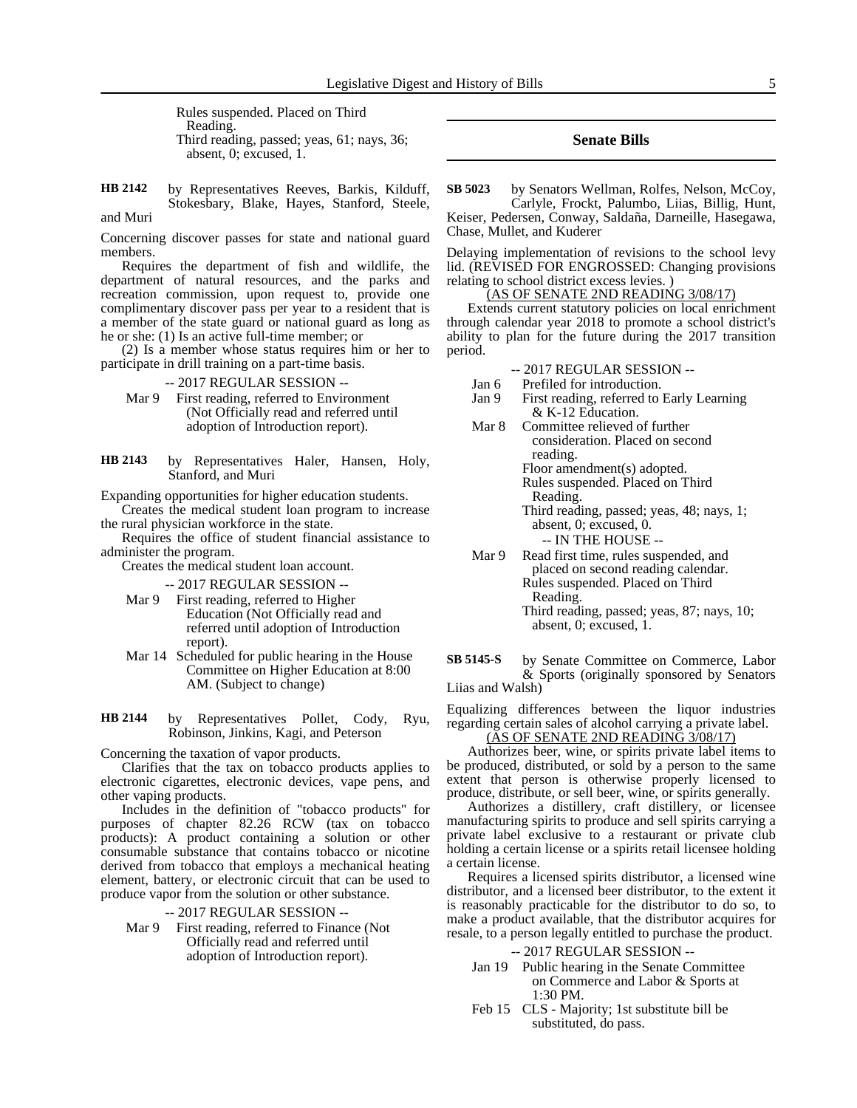Rules suspended. Placed on Third Reading. Third reading, passed; yeas, 61; nays, 36; absent, 0; excused, 1.

by Representatives Reeves, Barkis, Kilduff, Stokesbary, Blake, Hayes, Stanford, Steele, and Muri **HB 2142**

Concerning discover passes for state and national guard members.

Requires the department of fish and wildlife, the department of natural resources, and the parks and recreation commission, upon request to, provide one complimentary discover pass per year to a resident that is a member of the state guard or national guard as long as he or she: (1) Is an active full-time member; or

(2) Is a member whose status requires him or her to participate in drill training on a part-time basis.

- -- 2017 REGULAR SESSION --
- Mar 9 First reading, referred to Environment (Not Officially read and referred until adoption of Introduction report).

by Representatives Haler, Hansen, Holy, Stanford, and Muri **HB 2143**

Expanding opportunities for higher education students.

Creates the medical student loan program to increase the rural physician workforce in the state.

Requires the office of student financial assistance to administer the program.

Creates the medical student loan account.

-- 2017 REGULAR SESSION --

- Mar 9 First reading, referred to Higher Education (Not Officially read and referred until adoption of Introduction report).
- Mar 14 Scheduled for public hearing in the House Committee on Higher Education at 8:00 AM. (Subject to change)
- by Representatives Pollet, Cody, Ryu, Robinson, Jinkins, Kagi, and Peterson **HB 2144**

Concerning the taxation of vapor products.

Clarifies that the tax on tobacco products applies to electronic cigarettes, electronic devices, vape pens, and other vaping products.

Includes in the definition of "tobacco products" for purposes of chapter 82.26 RCW (tax on tobacco products): A product containing a solution or other consumable substance that contains tobacco or nicotine derived from tobacco that employs a mechanical heating element, battery, or electronic circuit that can be used to produce vapor from the solution or other substance.

-- 2017 REGULAR SESSION --

Mar 9 First reading, referred to Finance (Not Officially read and referred until adoption of Introduction report).

## **Senate Bills**

by Senators Wellman, Rolfes, Nelson, McCoy, Carlyle, Frockt, Palumbo, Liias, Billig, Hunt, Keiser, Pedersen, Conway, Saldaña, Darneille, Hasegawa, **SB 5023**

Delaying implementation of revisions to the school levy lid. (REVISED FOR ENGROSSED: Changing provisions relating to school district excess levies. )

(AS OF SENATE 2ND READING 3/08/17)

Extends current statutory policies on local enrichment through calendar year 2018 to promote a school district's ability to plan for the future during the 2017 transition period.

-- 2017 REGULAR SESSION --

- Jan 6 Prefiled for introduction.<br>Jan 9 First reading, referred to First reading, referred to Early Learning & K-12 Education.
- Mar 8 Committee relieved of further consideration. Placed on second reading. Floor amendment(s) adopted.

Rules suspended. Placed on Third

Reading.

Chase, Mullet, and Kuderer

Third reading, passed; yeas, 48; nays, 1; absent, 0; excused, 0.

-- IN THE HOUSE --

Mar 9 Read first time, rules suspended, and placed on second reading calendar. Rules suspended. Placed on Third Reading. Third reading, passed; yeas, 87; nays, 10;

absent, 0; excused, 1.

by Senate Committee on Commerce, Labor & Sports (originally sponsored by Senators Liias and Walsh) **SB 5145-S**

Equalizing differences between the liquor industries regarding certain sales of alcohol carrying a private label.

(AS OF SENATE 2ND READING 3/08/17)

Authorizes beer, wine, or spirits private label items to be produced, distributed, or sold by a person to the same extent that person is otherwise properly licensed to produce, distribute, or sell beer, wine, or spirits generally.

Authorizes a distillery, craft distillery, or licensee manufacturing spirits to produce and sell spirits carrying a private label exclusive to a restaurant or private club holding a certain license or a spirits retail licensee holding a certain license.

Requires a licensed spirits distributor, a licensed wine distributor, and a licensed beer distributor, to the extent it is reasonably practicable for the distributor to do so, to make a product available, that the distributor acquires for resale, to a person legally entitled to purchase the product.

-- 2017 REGULAR SESSION --

- Jan 19 Public hearing in the Senate Committee on Commerce and Labor & Sports at 1:30 PM.
- Feb 15 CLS Majority; 1st substitute bill be substituted, do pass.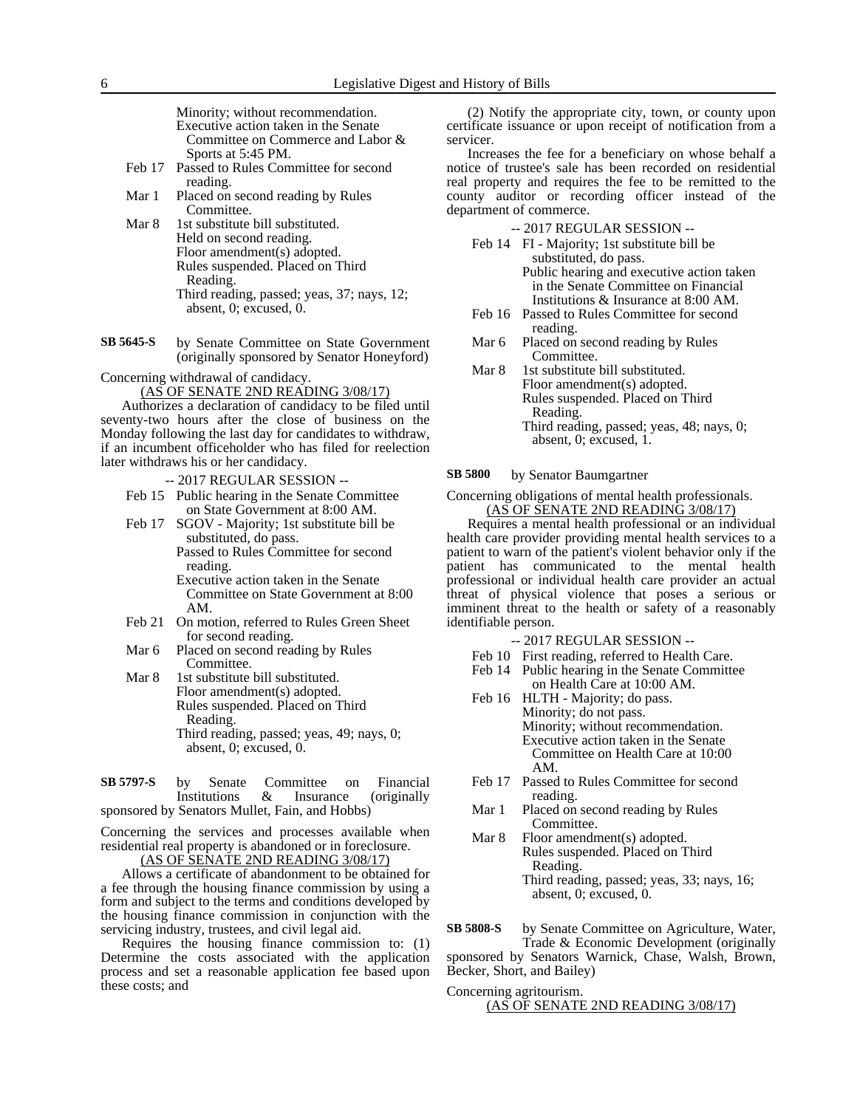Minority; without recommendation. Executive action taken in the Senate Committee on Commerce and Labor & Sports at 5:45 PM.

- Feb 17 Passed to Rules Committee for second reading.
- Mar 1 Placed on second reading by Rules Committee.
- Mar 8 1st substitute bill substituted. Held on second reading. Floor amendment(s) adopted. Rules suspended. Placed on Third Reading. Third reading, passed; yeas, 37; nays, 12; absent, 0; excused, 0.
- by Senate Committee on State Government (originally sponsored by Senator Honeyford) **SB 5645-S**

Concerning withdrawal of candidacy.

(AS OF SENATE 2ND READING 3/08/17)

Authorizes a declaration of candidacy to be filed until seventy-two hours after the close of business on the Monday following the last day for candidates to withdraw, if an incumbent officeholder who has filed for reelection later withdraws his or her candidacy.

- -- 2017 REGULAR SESSION --
- Feb 15 Public hearing in the Senate Committee on State Government at 8:00 AM.
- Feb 17 SGOV Majority; 1st substitute bill be substituted, do pass. Passed to Rules Committee for second

reading. Executive action taken in the Senate Committee on State Government at 8:00 AM.

- Feb 21 On motion, referred to Rules Green Sheet for second reading.
- Mar 6 Placed on second reading by Rules Committee.

Mar 8 1st substitute bill substituted. Floor amendment(s) adopted. Rules suspended. Placed on Third Reading. Third reading, passed; yeas, 49; nays, 0; absent, 0; excused, 0.

#### by Senate Committee on Financial Institutions & Insurance (originally sponsored by Senators Mullet, Fain, and Hobbs) **SB 5797-S**

Concerning the services and processes available when residential real property is abandoned or in foreclosure.

(AS OF SENATE 2ND READING 3/08/17)

Allows a certificate of abandonment to be obtained for a fee through the housing finance commission by using a form and subject to the terms and conditions developed by the housing finance commission in conjunction with the servicing industry, trustees, and civil legal aid.

Requires the housing finance commission to: (1) Determine the costs associated with the application process and set a reasonable application fee based upon these costs; and

(2) Notify the appropriate city, town, or county upon certificate issuance or upon receipt of notification from a servicer.

Increases the fee for a beneficiary on whose behalf a notice of trustee's sale has been recorded on residential real property and requires the fee to be remitted to the county auditor or recording officer instead of the department of commerce.

-- 2017 REGULAR SESSION --

- Feb 14 FI Majority; 1st substitute bill be substituted, do pass. Public hearing and executive action taken in the Senate Committee on Financial
- Institutions & Insurance at 8:00 AM. Feb 16 Passed to Rules Committee for second reading.
- Mar 6 Placed on second reading by Rules Committee.
- Mar 8 1st substitute bill substituted. Floor amendment(s) adopted. Rules suspended. Placed on Third Reading. Third reading, passed; yeas, 48; nays, 0; absent, 0; excused, 1.

by Senator Baumgartner **SB 5800**

Concerning obligations of mental health professionals. (AS OF SENATE 2ND READING 3/08/17)

Requires a mental health professional or an individual health care provider providing mental health services to a patient to warn of the patient's violent behavior only if the patient has communicated to the mental health professional or individual health care provider an actual threat of physical violence that poses a serious or imminent threat to the health or safety of a reasonably identifiable person.

- -- 2017 REGULAR SESSION --
- Feb 10 First reading, referred to Health Care. Feb 14 Public hearing in the Senate Committee
- on Health Care at 10:00 AM. Feb 16 HLTH - Majority; do pass.
	- Minority; do not pass. Minority; without recommendation. Executive action taken in the Senate Committee on Health Care at 10:00 AM.
- Feb 17 Passed to Rules Committee for second reading.
- Mar 1 Placed on second reading by Rules Committee.
- Mar 8 Floor amendment(s) adopted. Rules suspended. Placed on Third Reading. Third reading, passed; yeas, 33; nays, 16; absent, 0; excused, 0.

by Senate Committee on Agriculture, Water, Trade & Economic Development (originally sponsored by Senators Warnick, Chase, Walsh, Brown, **SB 5808-S**

Becker, Short, and Bailey)

Concerning agritourism. (AS OF SENATE 2ND READING 3/08/17)